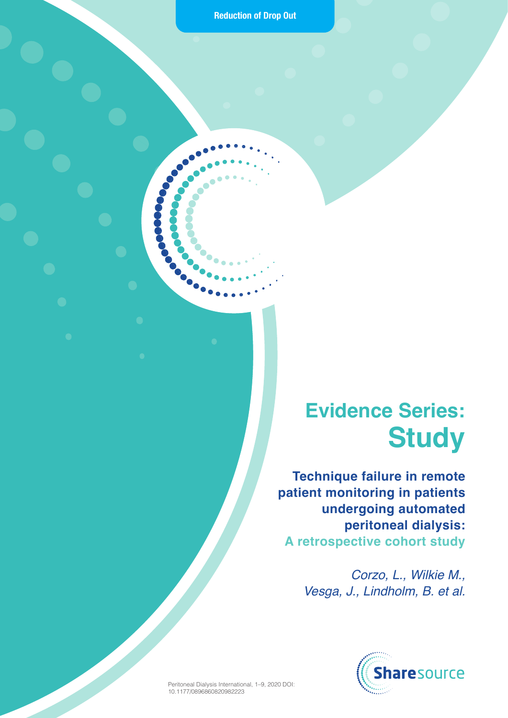**Reduction of Drop Out**

 $\sum_{i=1}^n$ 

 $\bullet$ 

 $\bigodot$ 

 $\bullet$ 

 $\bullet$ 

## **Evidence Series: Study**

**Technique failure in remote patient monitoring in patients undergoing automated peritoneal dialysis: A retrospective cohort study**

> *Corzo, L., Wilkie M., Vesga, J., Lindholm, B. et al.*



Peritoneal Dialysis International, 1–9, 2020 DOI: 10.1177/0896860820982223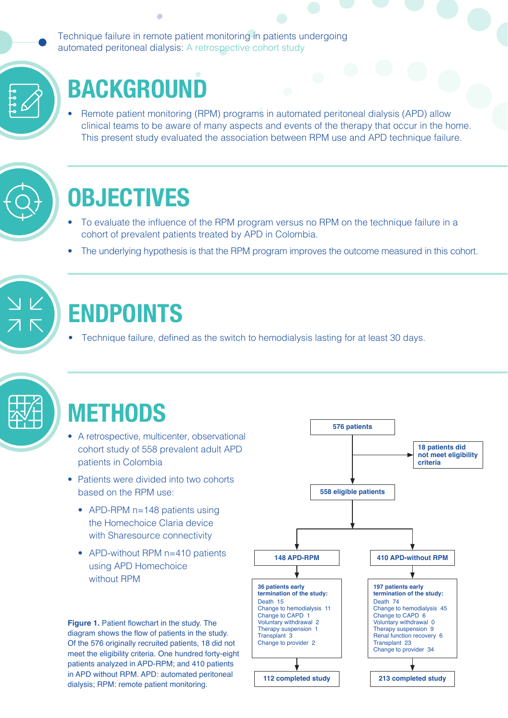Technique failure in remote patient monitoring in patients undergoing automated peritoneal dialysis: A retrospective cohort study

# **BACKGROUND**

ä

• Remote patient monitoring (RPM) programs in automated peritoneal dialysis (APD) allow clinical teams to be aware of many aspects and events of the therapy that occur in the home. This present study evaluated the association between RPM use and APD technique failure.



## **OBJECTIVES**

- To evaluate the influence of the RPM program versus no RPM on the technique failure in a cohort of prevalent patients treated by APD in Colombia.
- The underlying hypothesis is that the RPM program improves the outcome measured in this cohort.



## **ENDPOINTS**

Technique failure, defined as the switch to hemodialysis lasting for at least 30 days.



## **METHODS**

- A retrospective, multicenter, observational cohort study of 558 prevalent adult APD patients in Colombia
- Patients were divided into two cohorts based on the RPM use:
	- APD-RPM n=148 patients using the Homechoice Claria device with Sharesource connectivity
	- APD-without RPM n=410 patients using APD Homechoice without RPM

**Figure 1.** Patient flowchart in the study. The diagram shows the flow of patients in the study. Of the 576 originally recruited patients, 18 did not meet the eligibility criteria. One hundred forty-eight patients analyzed in APD-RPM; and 410 patients in APD without RPM. APD: automated peritoneal dialysis; RPM: remote patient monitoring.

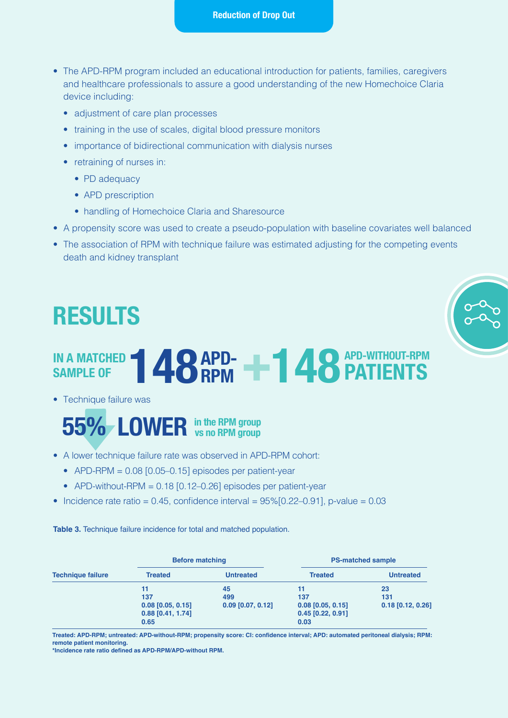### **Reduction of Drop Out**

- The APD-RPM program included an educational introduction for patients, families, caregivers and healthcare professionals to assure a good understanding of the new Homechoice Claria device including:
	- adjustment of care plan processes
	- training in the use of scales, digital blood pressure monitors
	- importance of bidirectional communication with dialysis nurses
	- retraining of nurses in:
		- PD adequacy
		- APD prescription
		- handling of Homechoice Claria and Sharesource
- A propensity score was used to create a pseudo-population with baseline covariates well balanced
- The association of RPM with technique failure was estimated adjusting for the competing events death and kidney transplant



## **IN A MATCHED 148 APD- +148** IN A MATCHED **148 APD- PATIENTS PATIENTS APD-WITHOUT-RPM**

• Technique failure was



- A lower technique failure rate was observed in APD-RPM cohort:
	- APD-RPM =  $0.08$  [0.05–0.15] episodes per patient-year
	- APD-without-RPM =  $0.18$  [0.12–0.26] episodes per patient-year
- Incidence rate ratio =  $0.45$ , confidence interval =  $95\%$ [0.22–0.91], p-value =  $0.03$

**Table 3.** Technique failure incidence for total and matched population.

| <b>Technique failure</b> | <b>Before matching</b> |                     | <b>PS-matched sample</b> |                     |
|--------------------------|------------------------|---------------------|--------------------------|---------------------|
|                          | <b>Treated</b>         | <b>Untreated</b>    | <b>Treated</b>           | <b>Untreated</b>    |
|                          | 11                     | 45                  |                          | 23                  |
|                          | 137                    | 499                 | 137                      | 131                 |
|                          | $0.08$ [0.05, 0.15]    | $0.09$ [0.07, 0.12] | $0.08$ [0.05, 0.15]      | $0.18$ [0.12, 0.26] |
|                          | $0.88$ [0.41, 1.74]    |                     | $0.45$ [0.22, 0.91]      |                     |
|                          | 0.65                   |                     | 0.03                     |                     |

**Treated: APD-RPM; untreated: APD-without-RPM; propensity score: CI: confidence interval; APD: automated peritoneal dialysis; RPM: remote patient monitoring.**

**\*Incidence rate ratio defined as APD-RPM/APD-without RPM.**